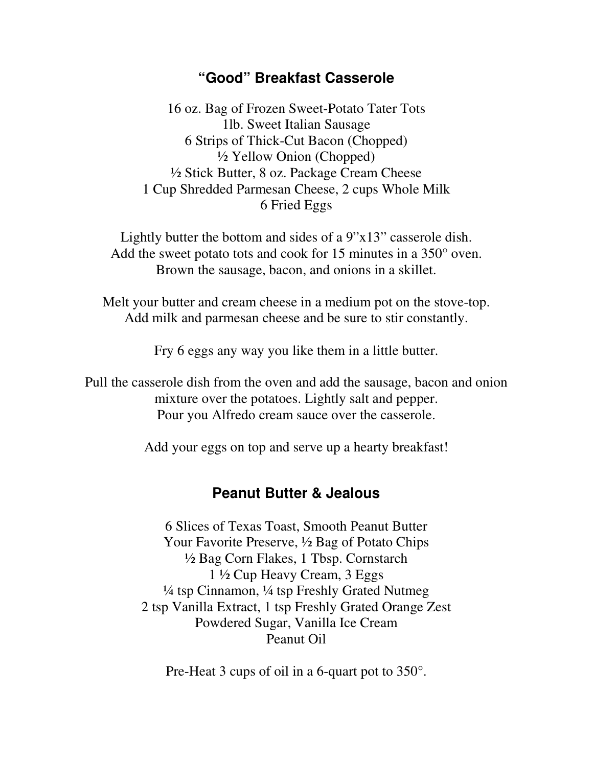## **"Good" Breakfast Casserole**

16 oz. Bag of Frozen Sweet-Potato Tater Tots 1lb. Sweet Italian Sausage 6 Strips of Thick-Cut Bacon (Chopped) ½ Yellow Onion (Chopped) ½ Stick Butter, 8 oz. Package Cream Cheese 1 Cup Shredded Parmesan Cheese, 2 cups Whole Milk 6 Fried Eggs

Lightly butter the bottom and sides of a 9"x13" casserole dish. Add the sweet potato tots and cook for 15 minutes in a 350° oven. Brown the sausage, bacon, and onions in a skillet.

Melt your butter and cream cheese in a medium pot on the stove-top. Add milk and parmesan cheese and be sure to stir constantly.

Fry 6 eggs any way you like them in a little butter.

Pull the casserole dish from the oven and add the sausage, bacon and onion mixture over the potatoes. Lightly salt and pepper. Pour you Alfredo cream sauce over the casserole.

Add your eggs on top and serve up a hearty breakfast!

## **Peanut Butter & Jealous**

6 Slices of Texas Toast, Smooth Peanut Butter Your Favorite Preserve, ½ Bag of Potato Chips ½ Bag Corn Flakes, 1 Tbsp. Cornstarch 1 ½ Cup Heavy Cream, 3 Eggs ¼ tsp Cinnamon, ¼ tsp Freshly Grated Nutmeg 2 tsp Vanilla Extract, 1 tsp Freshly Grated Orange Zest Powdered Sugar, Vanilla Ice Cream Peanut Oil

Pre-Heat 3 cups of oil in a 6-quart pot to 350°.